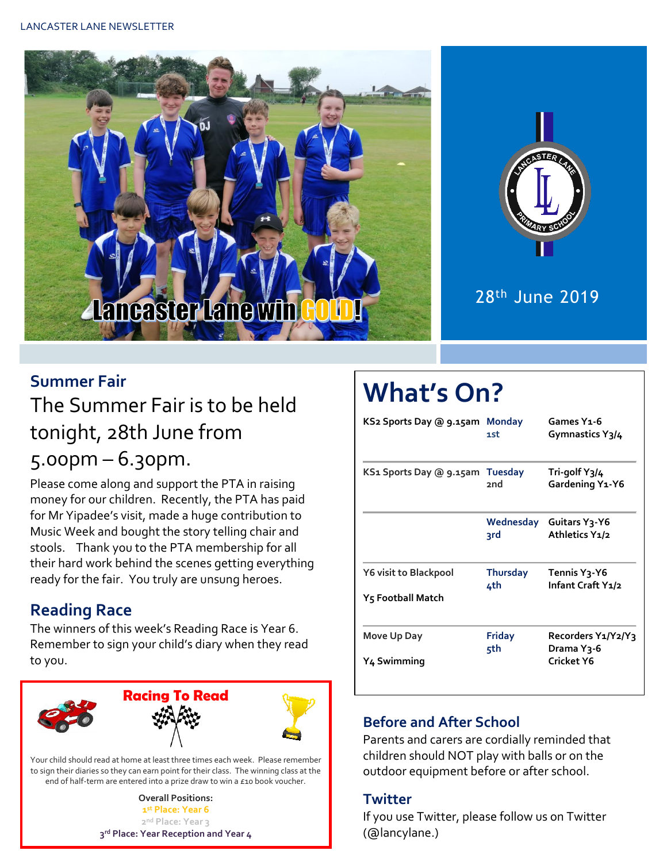



28th June 2019

#### **Summer Fair**

### The Summer Fair is to be held tonight, 28th June from 5.00pm – 6.30pm.

Please come along and support the PTA in raising money for our children. Recently, the PTA has paid for Mr Yipadee's visit, made a huge contribution to Music Week and bought the story telling chair and stools. Thank you to the PTA membership for all their hard work behind the scenes getting everything ready for the fair. You truly are unsung heroes.

#### **Reading Race**

The winners of this week's Reading Race is Year 6. Remember to sign your child's diary when they read to you.



Your child should read at home at least three times each week. Please remember to sign their diaries so they can earn point for their class. The winning class at the end of half-term are entered into a prize draw to win a £10 book voucher.

> **Overall Positions: st Place: Year 6 nd Place: Year 3 rd Place: Year Reception and Year 4**

# **What's On?**

| KS2 Sports Day @ 9.15am Monday                    | 1st                    | Games Y1-6<br>Gymnastics Y3/4                  |  |  |
|---------------------------------------------------|------------------------|------------------------------------------------|--|--|
| KS1 Sports Day @ 9.15am                           | <b>Tuesday</b><br>2nd  | Tri-golf Y3/4<br>Gardening Y1-Y6               |  |  |
|                                                   | Wednesday<br>२rd       | Guitars Y3-Y6<br>Athletics Y1/2                |  |  |
| <b>Y6 visit to Blackpool</b><br>Y5 Football Match | <b>Thursday</b><br>4th | Tennis Y <sub>3</sub> -Y6<br>Infant Craft Y1/2 |  |  |
| Move Up Day<br>Y4 Swimming                        | <b>Friday</b><br>5th   | Recorders Y1/Y2/Y3<br>Drama Y3-6<br>Cricket Y6 |  |  |

#### **Before and After School**

Parents and carers are cordially reminded that children should NOT play with balls or on the outdoor equipment before or after school.

#### **Twitter**

If you use Twitter, please follow us on Twitter (@lancylane.)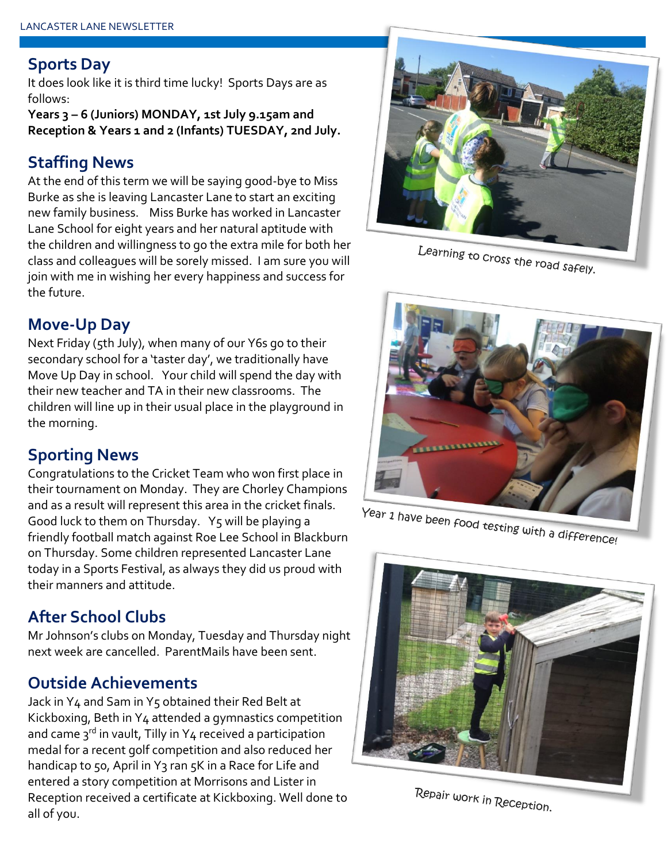#### **Sports Day**

It does look like it is third time lucky! Sports Days are as follows:

**Years 3 – 6 (Juniors) MONDAY, 1st July 9.15am and Reception & Years 1 and 2 (Infants) TUESDAY, 2nd July.**

#### **Staffing News**

At the end of this term we will be saying good-bye to Miss Burke as she is leaving Lancaster Lane to start an exciting new family business. Miss Burke has worked in Lancaster Lane School for eight years and her natural aptitude with the children and willingness to go the extra mile for both her class and colleagues will be sorely missed. I am sure you will join with me in wishing her every happiness and success for the future.

#### **Move-Up Day**

Next Friday (5th July), when many of our Y6s go to their secondary school for a 'taster day', we traditionally have Move Up Day in school. Your child will spend the day with their new teacher and TA in their new classrooms. The children will line up in their usual place in the playground in the morning.

#### **Sporting News**

Congratulations to the Cricket Team who won first place in their tournament on Monday. They are Chorley Champions and as a result will represent this area in the cricket finals. Good luck to them on Thursday. Y5 will be playing a friendly football match against Roe Lee School in Blackburn on Thursday. Some children represented Lancaster Lane today in a Sports Festival, as always they did us proud with their manners and attitude.

#### **After School Clubs**

Mr Johnson's clubs on Monday, Tuesday and Thursday night next week are cancelled. ParentMails have been sent.

#### **Outside Achievements**

Jack in Y4 and Sam in Y5 obtained their Red Belt at Kickboxing, Beth in Y4 attended a gymnastics competition and came  $3^{rd}$  in vault, Tilly in Y4 received a participation medal for a recent golf competition and also reduced her handicap to 50, April in Y3 ran 5K in a Race for Life and entered a story competition at Morrisons and Lister in Reception received a certificate at Kickboxing. Well done to all of you.



Learning to cross the road safely.



Year 1 have been food testing with a difference!



Repair work in Reception.